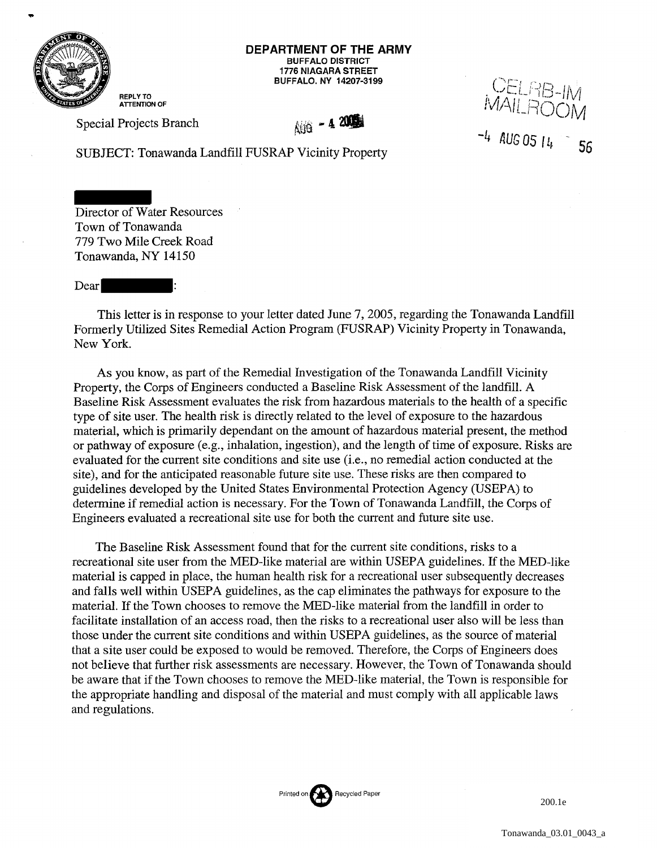

**DEPARTMENT OF THE ARMY**  BUFFALO DISTRICT 1776 NIAGARA STREET BUFFALO. NY 14207-3199

REPLY TO ATTENTION OF Special Projects Branch

AUG - 4 200

CELRB-IM<br>MAILDOON  $\mathcal{W}$  in  $H\cup\mathcal{C}$  in  $\mathcal{W}$ -4 *AUG* OS llJ 56

SUBJECT: Tonawanda Landfill FUSRAP Vicinity Property

Director of Water Resources Town of Tonawanda 779 Two Mile Creek Road Tonawanda, NY 14150

Dear

This letter is in response to your letter dated June 7, 2005, regarding the Tonawanda Landfill Formerly Utilized Sites Remedial Action Program (FUSRAP) Vicinity Property in Tonawanda, New York.

As you know, as part of the Remedial Investigation of the Tonawanda Landfill Vicinity Property, the Corps of Engineers conducted a Baseline Risk Assessment of the landfill. A Baseline Risk Assessment evaluates the risk from hazardous materials to the health of a specific type of site user. The health risk is directly related to the level of exposure to the hazardous material, which is primarily dependant on the amount of hazardous material present, the method or pathway of exposure (e.g., inhalation, ingestion), and the length of time of exposure. Risks are evaluated for the current site conditions and site use (i.e., no remedial action conducted at the site), and for the anticipated reasonable future site use. These risks are then compared to guidelines developed by the United States Environmental Protection Agency (USEPA) to determine if remedial action is necessary. For the Town of Tonawanda Landfill, the Corps of Engineers evaluated a recreational site use for both the current and future site use.

The Baseline Risk Assessment found that for the current site conditions, risks to a recreational site user from the MED-like material are within USEPA guidelines. If the MED-like material is capped in place, the human health risk for a recreational user subsequently decreases and falls well within USEPA guidelines, as the cap eliminates the pathways for exposure to the material. If the Town chooses to remove the MED-like material from the landfill in order to facilitate installation of an access road, then the risks to a recreational user also will be less than those under the current site conditions and within US EPA guidelines, as the source of material that a site user could be exposed to would be removed. Therefore, the Corps of Engineers does not believe that further risk assessments are necessary. However, the Town of Tonawanda should be aware that if the Town chooses to remove the MED-like material, the Town is responsible for the appropriate handling and disposal of the material and must comply with all applicable laws and regulations.